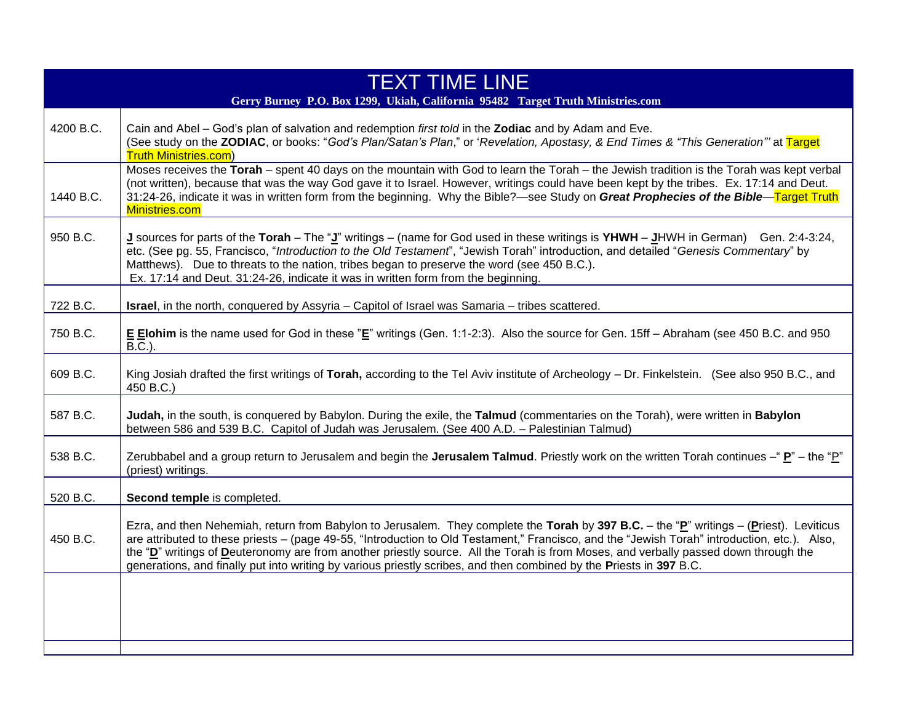| <b>TEXT TIME LINE</b><br>Gerry Burney P.O. Box 1299, Ukiah, California 95482 Target Truth Ministries.com |                                                                                                                                                                                                                                                                                                                                                                                                                                                                                                                                                       |
|----------------------------------------------------------------------------------------------------------|-------------------------------------------------------------------------------------------------------------------------------------------------------------------------------------------------------------------------------------------------------------------------------------------------------------------------------------------------------------------------------------------------------------------------------------------------------------------------------------------------------------------------------------------------------|
| 4200 B.C.                                                                                                | Cain and Abel - God's plan of salvation and redemption first told in the Zodiac and by Adam and Eve.<br>(See study on the ZODIAC, or books: "God's Plan/Satan's Plan," or 'Revelation, Apostasy, & End Times & "This Generation" at Target<br><b>Truth Ministries.com)</b>                                                                                                                                                                                                                                                                            |
| 1440 B.C.                                                                                                | Moses receives the Torah - spent 40 days on the mountain with God to learn the Torah - the Jewish tradition is the Torah was kept verbal<br>(not written), because that was the way God gave it to Israel. However, writings could have been kept by the tribes. Ex. 17:14 and Deut.<br>31:24-26, indicate it was in written form from the beginning. Why the Bible?—see Study on Great Prophecies of the Bible—Target Truth<br>Ministries.com                                                                                                        |
| 950 B.C.                                                                                                 | J sources for parts of the Torah – The "J" writings – (name for God used in these writings is YHWH – JHWH in German) Gen. 2:4-3:24,<br>etc. (See pg. 55, Francisco, "Introduction to the Old Testament", "Jewish Torah" introduction, and detailed "Genesis Commentary" by<br>Matthews). Due to threats to the nation, tribes began to preserve the word (see 450 B.C.).<br>Ex. 17:14 and Deut. 31:24-26, indicate it was in written form from the beginning.                                                                                         |
| 722 B.C.                                                                                                 | <b>Israel</b> , in the north, conquered by Assyria - Capitol of Israel was Samaria - tribes scattered.                                                                                                                                                                                                                                                                                                                                                                                                                                                |
| 750 B.C.                                                                                                 | E Elohim is the name used for God in these "E" writings (Gen. 1:1-2:3). Also the source for Gen. 15ff - Abraham (see 450 B.C. and 950<br>$B.C.$ ).                                                                                                                                                                                                                                                                                                                                                                                                    |
| 609 B.C.                                                                                                 | King Josiah drafted the first writings of Torah, according to the Tel Aviv institute of Archeology - Dr. Finkelstein. (See also 950 B.C., and<br>450 B.C.)                                                                                                                                                                                                                                                                                                                                                                                            |
| 587 B.C.                                                                                                 | Judah, in the south, is conquered by Babylon. During the exile, the Talmud (commentaries on the Torah), were written in Babylon<br>between 586 and 539 B.C. Capitol of Judah was Jerusalem. (See 400 A.D. - Palestinian Talmud)                                                                                                                                                                                                                                                                                                                       |
| 538 B.C.                                                                                                 | Zerubbabel and a group return to Jerusalem and begin the Jerusalem Talmud. Priestly work on the written Torah continues -" $\underline{P}$ " – the " $\underline{P}$ "<br>(priest) writings.                                                                                                                                                                                                                                                                                                                                                          |
| 520 B.C.                                                                                                 | Second temple is completed.                                                                                                                                                                                                                                                                                                                                                                                                                                                                                                                           |
| 450 B.C.                                                                                                 | Ezra, and then Nehemiah, return from Babylon to Jerusalem. They complete the Torah by 397 B.C. - the "P" writings - (Priest). Leviticus<br>are attributed to these priests – (page 49-55, "Introduction to Old Testament," Francisco, and the "Jewish Torah" introduction, etc.). Also,<br>the "D" writings of Deuteronomy are from another priestly source. All the Torah is from Moses, and verbally passed down through the<br>generations, and finally put into writing by various priestly scribes, and then combined by the Priests in 397 B.C. |
|                                                                                                          |                                                                                                                                                                                                                                                                                                                                                                                                                                                                                                                                                       |
|                                                                                                          |                                                                                                                                                                                                                                                                                                                                                                                                                                                                                                                                                       |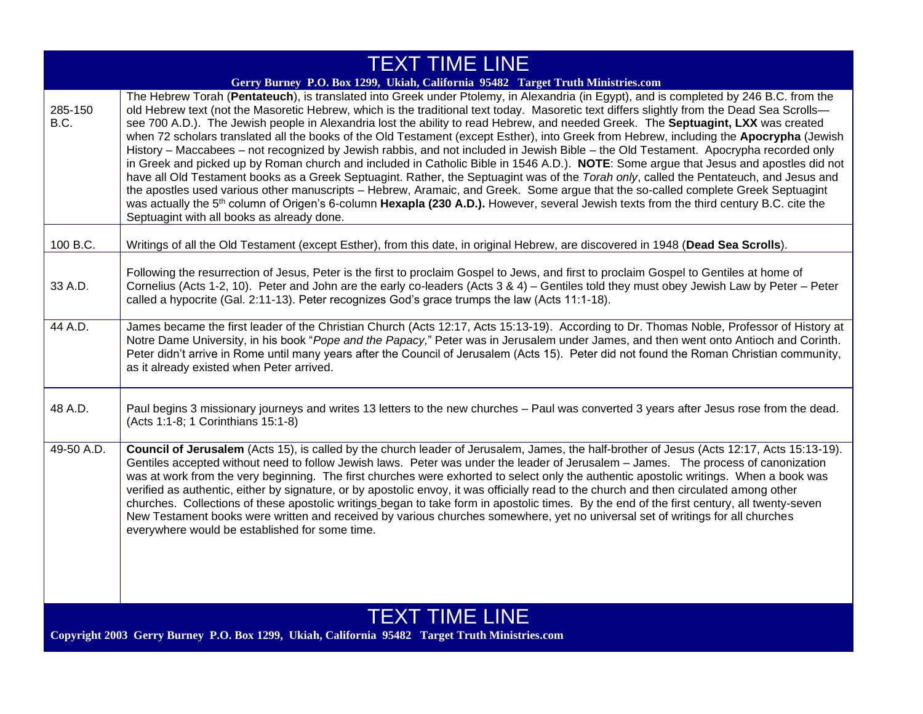| <b>TEXT TIME LINE</b>                                                                                                   |                                                                                                                                                                                                                                                                                                                                                                                                                                                                                                                                                                                                                                                                                                                                                                                                                                                                                                                                                                                                                                                                                                                                                                                                                                                                                                                                           |
|-------------------------------------------------------------------------------------------------------------------------|-------------------------------------------------------------------------------------------------------------------------------------------------------------------------------------------------------------------------------------------------------------------------------------------------------------------------------------------------------------------------------------------------------------------------------------------------------------------------------------------------------------------------------------------------------------------------------------------------------------------------------------------------------------------------------------------------------------------------------------------------------------------------------------------------------------------------------------------------------------------------------------------------------------------------------------------------------------------------------------------------------------------------------------------------------------------------------------------------------------------------------------------------------------------------------------------------------------------------------------------------------------------------------------------------------------------------------------------|
| Gerry Burney P.O. Box 1299, Ukiah, California 95482 Target Truth Ministries.com                                         |                                                                                                                                                                                                                                                                                                                                                                                                                                                                                                                                                                                                                                                                                                                                                                                                                                                                                                                                                                                                                                                                                                                                                                                                                                                                                                                                           |
| 285-150<br>B.C.                                                                                                         | The Hebrew Torah (Pentateuch), is translated into Greek under Ptolemy, in Alexandria (in Egypt), and is completed by 246 B.C. from the<br>old Hebrew text (not the Masoretic Hebrew, which is the traditional text today. Masoretic text differs slightly from the Dead Sea Scrolls-<br>see 700 A.D.). The Jewish people in Alexandria lost the ability to read Hebrew, and needed Greek. The Septuagint, LXX was created<br>when 72 scholars translated all the books of the Old Testament (except Esther), into Greek from Hebrew, including the Apocrypha (Jewish<br>History – Maccabees – not recognized by Jewish rabbis, and not included in Jewish Bible – the Old Testament. Apocrypha recorded only<br>in Greek and picked up by Roman church and included in Catholic Bible in 1546 A.D.). NOTE: Some argue that Jesus and apostles did not<br>have all Old Testament books as a Greek Septuagint. Rather, the Septuagint was of the Torah only, called the Pentateuch, and Jesus and<br>the apostles used various other manuscripts - Hebrew, Aramaic, and Greek. Some argue that the so-called complete Greek Septuagint<br>was actually the 5 <sup>th</sup> column of Origen's 6-column Hexapla (230 A.D.). However, several Jewish texts from the third century B.C. cite the<br>Septuagint with all books as already done. |
| 100 B.C.                                                                                                                | Writings of all the Old Testament (except Esther), from this date, in original Hebrew, are discovered in 1948 (Dead Sea Scrolls).                                                                                                                                                                                                                                                                                                                                                                                                                                                                                                                                                                                                                                                                                                                                                                                                                                                                                                                                                                                                                                                                                                                                                                                                         |
| 33 A.D.                                                                                                                 | Following the resurrection of Jesus, Peter is the first to proclaim Gospel to Jews, and first to proclaim Gospel to Gentiles at home of<br>Cornelius (Acts 1-2, 10). Peter and John are the early co-leaders (Acts 3 & 4) – Gentiles told they must obey Jewish Law by Peter – Peter<br>called a hypocrite (Gal. 2:11-13). Peter recognizes God's grace trumps the law (Acts 11:1-18).                                                                                                                                                                                                                                                                                                                                                                                                                                                                                                                                                                                                                                                                                                                                                                                                                                                                                                                                                    |
| 44 A.D.                                                                                                                 | James became the first leader of the Christian Church (Acts 12:17, Acts 15:13-19). According to Dr. Thomas Noble, Professor of History at<br>Notre Dame University, in his book "Pope and the Papacy," Peter was in Jerusalem under James, and then went onto Antioch and Corinth.<br>Peter didn't arrive in Rome until many years after the Council of Jerusalem (Acts 15). Peter did not found the Roman Christian community,<br>as it already existed when Peter arrived.                                                                                                                                                                                                                                                                                                                                                                                                                                                                                                                                                                                                                                                                                                                                                                                                                                                              |
| 48 A.D.                                                                                                                 | Paul begins 3 missionary journeys and writes 13 letters to the new churches - Paul was converted 3 years after Jesus rose from the dead.<br>(Acts 1:1-8; 1 Corinthians 15:1-8)                                                                                                                                                                                                                                                                                                                                                                                                                                                                                                                                                                                                                                                                                                                                                                                                                                                                                                                                                                                                                                                                                                                                                            |
| 49-50 A.D.                                                                                                              | Council of Jerusalem (Acts 15), is called by the church leader of Jerusalem, James, the half-brother of Jesus (Acts 12:17, Acts 15:13-19).<br>Gentiles accepted without need to follow Jewish laws. Peter was under the leader of Jerusalem - James. The process of canonization<br>was at work from the very beginning. The first churches were exhorted to select only the authentic apostolic writings. When a book was<br>verified as authentic, either by signature, or by apostolic envoy, it was officially read to the church and then circulated among other<br>churches. Collections of these apostolic writings began to take form in apostolic times. By the end of the first century, all twenty-seven<br>New Testament books were written and received by various churches somewhere, yet no universal set of writings for all churches<br>everywhere would be established for some time.                                                                                                                                                                                                                                                                                                                                                                                                                                   |
| <b>TEXT TIME LINE</b><br>Copyright 2003 Gerry Burney P.O. Box 1299, Ukiah, California 95482 Target Truth Ministries.com |                                                                                                                                                                                                                                                                                                                                                                                                                                                                                                                                                                                                                                                                                                                                                                                                                                                                                                                                                                                                                                                                                                                                                                                                                                                                                                                                           |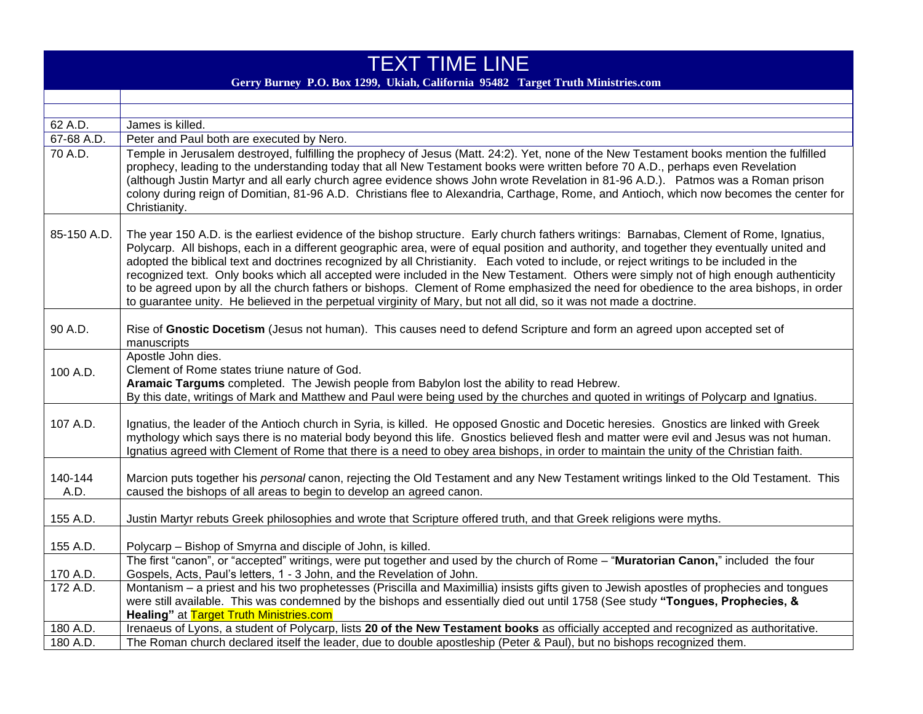| <b>TEXT TIME LINE</b><br>Gerry Burney P.O. Box 1299, Ukiah, California 95482 Target Truth Ministries.com |                                                                                                                                                                                                                                                                                                                                                                                                                                                                                                                                                                                                                                                                                                                                                                                                                                            |
|----------------------------------------------------------------------------------------------------------|--------------------------------------------------------------------------------------------------------------------------------------------------------------------------------------------------------------------------------------------------------------------------------------------------------------------------------------------------------------------------------------------------------------------------------------------------------------------------------------------------------------------------------------------------------------------------------------------------------------------------------------------------------------------------------------------------------------------------------------------------------------------------------------------------------------------------------------------|
|                                                                                                          |                                                                                                                                                                                                                                                                                                                                                                                                                                                                                                                                                                                                                                                                                                                                                                                                                                            |
|                                                                                                          |                                                                                                                                                                                                                                                                                                                                                                                                                                                                                                                                                                                                                                                                                                                                                                                                                                            |
| 62 A.D.                                                                                                  | James is killed.                                                                                                                                                                                                                                                                                                                                                                                                                                                                                                                                                                                                                                                                                                                                                                                                                           |
| $67-68$ A.D.                                                                                             | Peter and Paul both are executed by Nero.                                                                                                                                                                                                                                                                                                                                                                                                                                                                                                                                                                                                                                                                                                                                                                                                  |
| 70 A.D.                                                                                                  | Temple in Jerusalem destroyed, fulfilling the prophecy of Jesus (Matt. 24:2). Yet, none of the New Testament books mention the fulfilled<br>prophecy, leading to the understanding today that all New Testament books were written before 70 A.D., perhaps even Revelation<br>(although Justin Martyr and all early church agree evidence shows John wrote Revelation in 81-96 A.D.). Patmos was a Roman prison<br>colony during reign of Domitian, 81-96 A.D. Christians flee to Alexandria, Carthage, Rome, and Antioch, which now becomes the center for<br>Christianity.                                                                                                                                                                                                                                                               |
| 85-150 A.D.                                                                                              | The year 150 A.D. is the earliest evidence of the bishop structure. Early church fathers writings: Barnabas, Clement of Rome, Ignatius,<br>Polycarp. All bishops, each in a different geographic area, were of equal position and authority, and together they eventually united and<br>adopted the biblical text and doctrines recognized by all Christianity. Each voted to include, or reject writings to be included in the<br>recognized text. Only books which all accepted were included in the New Testament. Others were simply not of high enough authenticity<br>to be agreed upon by all the church fathers or bishops. Clement of Rome emphasized the need for obedience to the area bishops, in order<br>to guarantee unity. He believed in the perpetual virginity of Mary, but not all did, so it was not made a doctrine. |
| 90 A.D.                                                                                                  | Rise of Gnostic Docetism (Jesus not human). This causes need to defend Scripture and form an agreed upon accepted set of<br>manuscripts                                                                                                                                                                                                                                                                                                                                                                                                                                                                                                                                                                                                                                                                                                    |
| 100 A.D.                                                                                                 | Apostle John dies.<br>Clement of Rome states triune nature of God.<br>Aramaic Targums completed. The Jewish people from Babylon lost the ability to read Hebrew.<br>By this date, writings of Mark and Matthew and Paul were being used by the churches and quoted in writings of Polycarp and Ignatius.                                                                                                                                                                                                                                                                                                                                                                                                                                                                                                                                   |
| 107 A.D.                                                                                                 | Ignatius, the leader of the Antioch church in Syria, is killed. He opposed Gnostic and Docetic heresies. Gnostics are linked with Greek<br>mythology which says there is no material body beyond this life. Gnostics believed flesh and matter were evil and Jesus was not human.<br>Ignatius agreed with Clement of Rome that there is a need to obey area bishops, in order to maintain the unity of the Christian faith.                                                                                                                                                                                                                                                                                                                                                                                                                |
| 140-144<br>A.D.                                                                                          | Marcion puts together his personal canon, rejecting the Old Testament and any New Testament writings linked to the Old Testament. This<br>caused the bishops of all areas to begin to develop an agreed canon.                                                                                                                                                                                                                                                                                                                                                                                                                                                                                                                                                                                                                             |
| 155 A.D.                                                                                                 | Justin Martyr rebuts Greek philosophies and wrote that Scripture offered truth, and that Greek religions were myths.                                                                                                                                                                                                                                                                                                                                                                                                                                                                                                                                                                                                                                                                                                                       |
| 155 A.D.                                                                                                 | Polycarp - Bishop of Smyrna and disciple of John, is killed.                                                                                                                                                                                                                                                                                                                                                                                                                                                                                                                                                                                                                                                                                                                                                                               |
| 170 A.D.                                                                                                 | The first "canon", or "accepted" writings, were put together and used by the church of Rome - "Muratorian Canon," included the four<br>Gospels, Acts, Paul's letters, 1 - 3 John, and the Revelation of John.                                                                                                                                                                                                                                                                                                                                                                                                                                                                                                                                                                                                                              |
| 172 A.D.                                                                                                 | Montanism - a priest and his two prophetesses (Priscilla and Maximillia) insists gifts given to Jewish apostles of prophecies and tongues<br>were still available. This was condemned by the bishops and essentially died out until 1758 (See study "Tongues, Prophecies, &<br><b>Healing"</b> at Target Truth Ministries.com                                                                                                                                                                                                                                                                                                                                                                                                                                                                                                              |
| 180 A.D.                                                                                                 | Irenaeus of Lyons, a student of Polycarp, lists 20 of the New Testament books as officially accepted and recognized as authoritative.                                                                                                                                                                                                                                                                                                                                                                                                                                                                                                                                                                                                                                                                                                      |
| 180 A.D.                                                                                                 | The Roman church declared itself the leader, due to double apostleship (Peter & Paul), but no bishops recognized them.                                                                                                                                                                                                                                                                                                                                                                                                                                                                                                                                                                                                                                                                                                                     |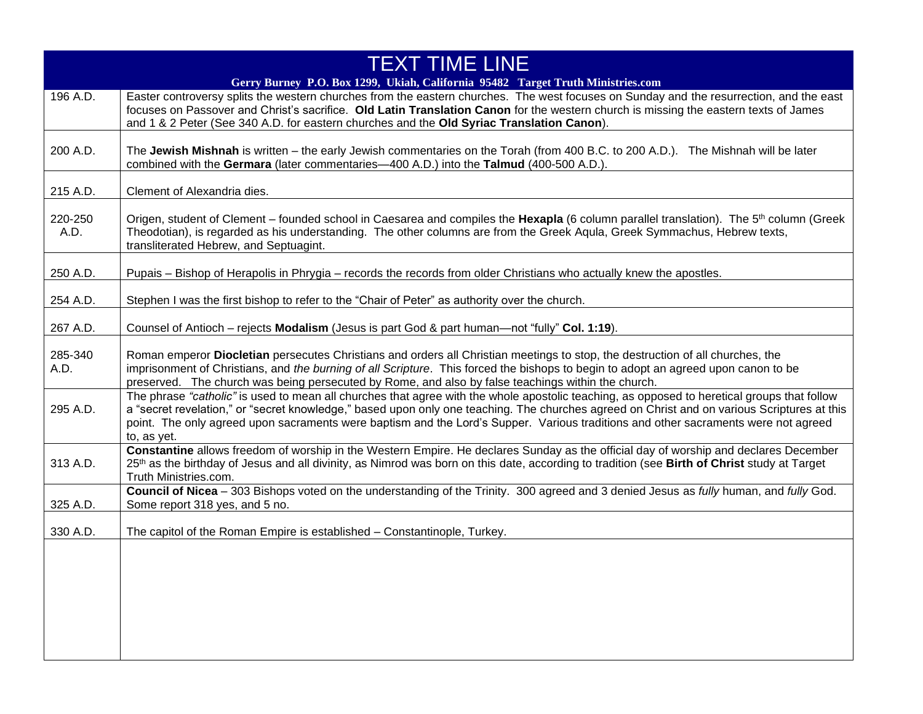| <b>TEXT TIME LINE</b> |                                                                                                                                                                                                                                                                                                                                                                                                                                                 |
|-----------------------|-------------------------------------------------------------------------------------------------------------------------------------------------------------------------------------------------------------------------------------------------------------------------------------------------------------------------------------------------------------------------------------------------------------------------------------------------|
|                       | Gerry Burney P.O. Box 1299, Ukiah, California 95482 Target Truth Ministries.com                                                                                                                                                                                                                                                                                                                                                                 |
| 196 A.D.              | Easter controversy splits the western churches from the eastern churches. The west focuses on Sunday and the resurrection, and the east<br>focuses on Passover and Christ's sacrifice. Old Latin Translation Canon for the western church is missing the eastern texts of James<br>and 1 & 2 Peter (See 340 A.D. for eastern churches and the Old Syriac Translation Canon).                                                                    |
| 200 A.D.              | The Jewish Mishnah is written - the early Jewish commentaries on the Torah (from 400 B.C. to 200 A.D.). The Mishnah will be later<br>combined with the Germara (later commentaries-400 A.D.) into the Talmud (400-500 A.D.).                                                                                                                                                                                                                    |
| 215 A.D.              | Clement of Alexandria dies.                                                                                                                                                                                                                                                                                                                                                                                                                     |
| 220-250<br>A.D.       | Origen, student of Clement – founded school in Caesarea and compiles the Hexapla (6 column parallel translation). The 5 <sup>th</sup> column (Greek<br>Theodotian), is regarded as his understanding. The other columns are from the Greek Aqula, Greek Symmachus, Hebrew texts,<br>transliterated Hebrew, and Septuagint.                                                                                                                      |
| 250 A.D.              | Pupais - Bishop of Herapolis in Phrygia - records the records from older Christians who actually knew the apostles.                                                                                                                                                                                                                                                                                                                             |
| 254 A.D.              | Stephen I was the first bishop to refer to the "Chair of Peter" as authority over the church.                                                                                                                                                                                                                                                                                                                                                   |
| 267 A.D.              | Counsel of Antioch - rejects Modalism (Jesus is part God & part human—not "fully" Col. 1:19).                                                                                                                                                                                                                                                                                                                                                   |
| 285-340<br>A.D.       | Roman emperor Diocletian persecutes Christians and orders all Christian meetings to stop, the destruction of all churches, the<br>imprisonment of Christians, and the burning of all Scripture. This forced the bishops to begin to adopt an agreed upon canon to be<br>preserved. The church was being persecuted by Rome, and also by false teachings within the church.                                                                      |
| 295 A.D.              | The phrase "catholic" is used to mean all churches that agree with the whole apostolic teaching, as opposed to heretical groups that follow<br>a "secret revelation," or "secret knowledge," based upon only one teaching. The churches agreed on Christ and on various Scriptures at this<br>point. The only agreed upon sacraments were baptism and the Lord's Supper. Various traditions and other sacraments were not agreed<br>to, as yet. |
| 313 A.D.              | Constantine allows freedom of worship in the Western Empire. He declares Sunday as the official day of worship and declares December<br>25 <sup>th</sup> as the birthday of Jesus and all divinity, as Nimrod was born on this date, according to tradition (see Birth of Christ study at Target<br>Truth Ministries.com.                                                                                                                       |
| 325 A.D.              | Council of Nicea - 303 Bishops voted on the understanding of the Trinity. 300 agreed and 3 denied Jesus as fully human, and fully God.<br>Some report 318 yes, and 5 no.                                                                                                                                                                                                                                                                        |
| 330 A.D.              | The capitol of the Roman Empire is established - Constantinople, Turkey.                                                                                                                                                                                                                                                                                                                                                                        |
|                       |                                                                                                                                                                                                                                                                                                                                                                                                                                                 |
|                       |                                                                                                                                                                                                                                                                                                                                                                                                                                                 |
|                       |                                                                                                                                                                                                                                                                                                                                                                                                                                                 |
|                       |                                                                                                                                                                                                                                                                                                                                                                                                                                                 |
|                       |                                                                                                                                                                                                                                                                                                                                                                                                                                                 |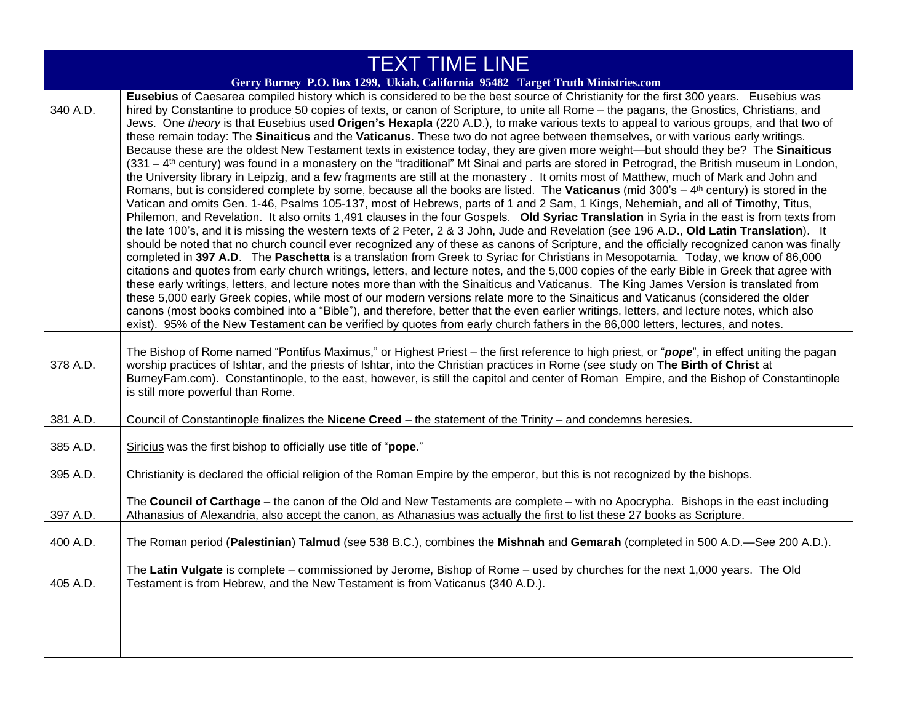| <b>TEXT TIME LINE</b> |                                                                                                                                                                                                                                                                                                                                                                                                                                                                                                                                                                                                                                                                                                                                                                                                                                                                                                                                                                                                                                                                                                                                                                                                                                                                                                                                                                                                                                                                                                                                                                                                                                                                                                                                                                                                                                                                                                                                                                                                                                                                                                                                                                                                                                                                                                                                                                                                                                                                                                                                                                                                             |
|-----------------------|-------------------------------------------------------------------------------------------------------------------------------------------------------------------------------------------------------------------------------------------------------------------------------------------------------------------------------------------------------------------------------------------------------------------------------------------------------------------------------------------------------------------------------------------------------------------------------------------------------------------------------------------------------------------------------------------------------------------------------------------------------------------------------------------------------------------------------------------------------------------------------------------------------------------------------------------------------------------------------------------------------------------------------------------------------------------------------------------------------------------------------------------------------------------------------------------------------------------------------------------------------------------------------------------------------------------------------------------------------------------------------------------------------------------------------------------------------------------------------------------------------------------------------------------------------------------------------------------------------------------------------------------------------------------------------------------------------------------------------------------------------------------------------------------------------------------------------------------------------------------------------------------------------------------------------------------------------------------------------------------------------------------------------------------------------------------------------------------------------------------------------------------------------------------------------------------------------------------------------------------------------------------------------------------------------------------------------------------------------------------------------------------------------------------------------------------------------------------------------------------------------------------------------------------------------------------------------------------------------------|
|                       | Gerry Burney P.O. Box 1299, Ukiah, California 95482 Target Truth Ministries.com                                                                                                                                                                                                                                                                                                                                                                                                                                                                                                                                                                                                                                                                                                                                                                                                                                                                                                                                                                                                                                                                                                                                                                                                                                                                                                                                                                                                                                                                                                                                                                                                                                                                                                                                                                                                                                                                                                                                                                                                                                                                                                                                                                                                                                                                                                                                                                                                                                                                                                                             |
| 340 A.D.              | Eusebius of Caesarea compiled history which is considered to be the best source of Christianity for the first 300 years. Eusebius was<br>hired by Constantine to produce 50 copies of texts, or canon of Scripture, to unite all Rome - the pagans, the Gnostics, Christians, and<br>Jews. One theory is that Eusebius used Origen's Hexapla (220 A.D.), to make various texts to appeal to various groups, and that two of<br>these remain today: The Sinaiticus and the Vaticanus. These two do not agree between themselves, or with various early writings.<br>Because these are the oldest New Testament texts in existence today, they are given more weight—but should they be? The Sinaiticus<br>(331 – 4 <sup>th</sup> century) was found in a monastery on the "traditional" Mt Sinai and parts are stored in Petrograd, the British museum in London,<br>the University library in Leipzig, and a few fragments are still at the monastery. It omits most of Matthew, much of Mark and John and<br>Romans, but is considered complete by some, because all the books are listed. The Vaticanus (mid $300$ 's $-4$ <sup>th</sup> century) is stored in the<br>Vatican and omits Gen. 1-46, Psalms 105-137, most of Hebrews, parts of 1 and 2 Sam, 1 Kings, Nehemiah, and all of Timothy, Titus,<br>Philemon, and Revelation. It also omits 1,491 clauses in the four Gospels. Old Syriac Translation in Syria in the east is from texts from<br>the late 100's, and it is missing the western texts of 2 Peter, 2 & 3 John, Jude and Revelation (see 196 A.D., Old Latin Translation). It<br>should be noted that no church council ever recognized any of these as canons of Scripture, and the officially recognized canon was finally<br>completed in 397 A.D. The Paschetta is a translation from Greek to Syriac for Christians in Mesopotamia. Today, we know of 86,000<br>citations and quotes from early church writings, letters, and lecture notes, and the 5,000 copies of the early Bible in Greek that agree with<br>these early writings, letters, and lecture notes more than with the Sinaiticus and Vaticanus. The King James Version is translated from<br>these 5,000 early Greek copies, while most of our modern versions relate more to the Sinaiticus and Vaticanus (considered the older<br>canons (most books combined into a "Bible"), and therefore, better that the even earlier writings, letters, and lecture notes, which also<br>exist). 95% of the New Testament can be verified by quotes from early church fathers in the 86,000 letters, lectures, and notes. |
| 378 A.D.              | The Bishop of Rome named "Pontifus Maximus," or Highest Priest – the first reference to high priest, or "pope", in effect uniting the pagan<br>worship practices of Ishtar, and the priests of Ishtar, into the Christian practices in Rome (see study on The Birth of Christ at<br>BurneyFam.com). Constantinople, to the east, however, is still the capitol and center of Roman Empire, and the Bishop of Constantinople<br>is still more powerful than Rome.                                                                                                                                                                                                                                                                                                                                                                                                                                                                                                                                                                                                                                                                                                                                                                                                                                                                                                                                                                                                                                                                                                                                                                                                                                                                                                                                                                                                                                                                                                                                                                                                                                                                                                                                                                                                                                                                                                                                                                                                                                                                                                                                            |
| 381 A.D.              | Council of Constantinople finalizes the Nicene Creed - the statement of the Trinity - and condemns heresies.                                                                                                                                                                                                                                                                                                                                                                                                                                                                                                                                                                                                                                                                                                                                                                                                                                                                                                                                                                                                                                                                                                                                                                                                                                                                                                                                                                                                                                                                                                                                                                                                                                                                                                                                                                                                                                                                                                                                                                                                                                                                                                                                                                                                                                                                                                                                                                                                                                                                                                |
| 385 A.D.              | Siricius was the first bishop to officially use title of "pope."                                                                                                                                                                                                                                                                                                                                                                                                                                                                                                                                                                                                                                                                                                                                                                                                                                                                                                                                                                                                                                                                                                                                                                                                                                                                                                                                                                                                                                                                                                                                                                                                                                                                                                                                                                                                                                                                                                                                                                                                                                                                                                                                                                                                                                                                                                                                                                                                                                                                                                                                            |
| 395 A.D.              | Christianity is declared the official religion of the Roman Empire by the emperor, but this is not recognized by the bishops.                                                                                                                                                                                                                                                                                                                                                                                                                                                                                                                                                                                                                                                                                                                                                                                                                                                                                                                                                                                                                                                                                                                                                                                                                                                                                                                                                                                                                                                                                                                                                                                                                                                                                                                                                                                                                                                                                                                                                                                                                                                                                                                                                                                                                                                                                                                                                                                                                                                                               |
| 397 A.D.              | The Council of Carthage – the canon of the Old and New Testaments are complete – with no Apocrypha. Bishops in the east including<br>Athanasius of Alexandria, also accept the canon, as Athanasius was actually the first to list these 27 books as Scripture.                                                                                                                                                                                                                                                                                                                                                                                                                                                                                                                                                                                                                                                                                                                                                                                                                                                                                                                                                                                                                                                                                                                                                                                                                                                                                                                                                                                                                                                                                                                                                                                                                                                                                                                                                                                                                                                                                                                                                                                                                                                                                                                                                                                                                                                                                                                                             |
| 400 A.D.              | The Roman period (Palestinian) Talmud (see 538 B.C.), combines the Mishnah and Gemarah (completed in 500 A.D.—See 200 A.D.).                                                                                                                                                                                                                                                                                                                                                                                                                                                                                                                                                                                                                                                                                                                                                                                                                                                                                                                                                                                                                                                                                                                                                                                                                                                                                                                                                                                                                                                                                                                                                                                                                                                                                                                                                                                                                                                                                                                                                                                                                                                                                                                                                                                                                                                                                                                                                                                                                                                                                |
| 405 A.D.              | The Latin Vulgate is complete – commissioned by Jerome, Bishop of Rome – used by churches for the next 1,000 years. The Old<br>Testament is from Hebrew, and the New Testament is from Vaticanus (340 A.D.).                                                                                                                                                                                                                                                                                                                                                                                                                                                                                                                                                                                                                                                                                                                                                                                                                                                                                                                                                                                                                                                                                                                                                                                                                                                                                                                                                                                                                                                                                                                                                                                                                                                                                                                                                                                                                                                                                                                                                                                                                                                                                                                                                                                                                                                                                                                                                                                                |
|                       |                                                                                                                                                                                                                                                                                                                                                                                                                                                                                                                                                                                                                                                                                                                                                                                                                                                                                                                                                                                                                                                                                                                                                                                                                                                                                                                                                                                                                                                                                                                                                                                                                                                                                                                                                                                                                                                                                                                                                                                                                                                                                                                                                                                                                                                                                                                                                                                                                                                                                                                                                                                                             |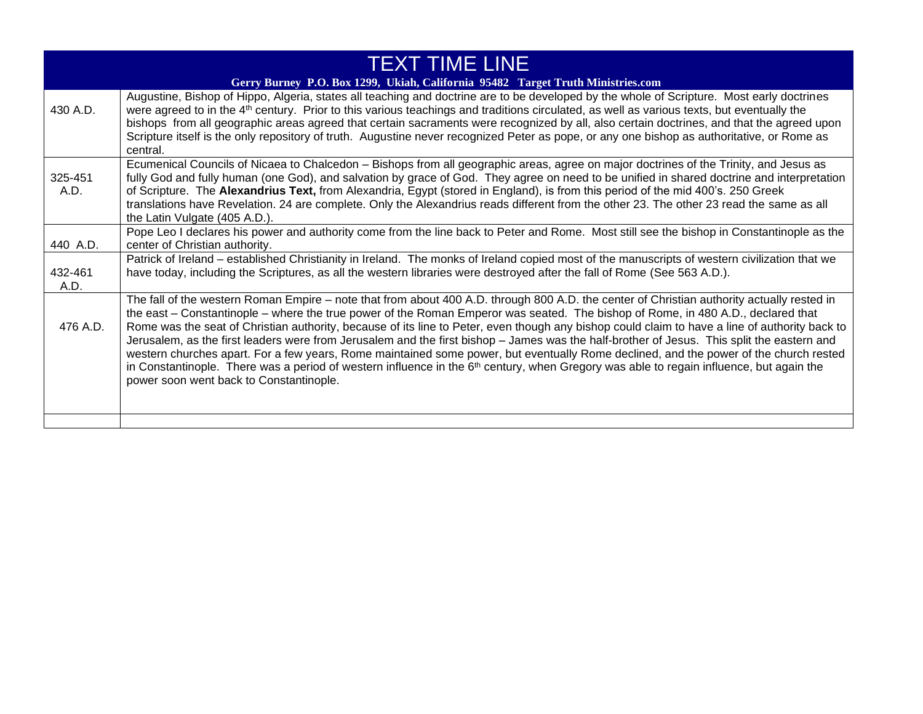| <b>TEXT TIME LINE</b>                                                           |                                                                                                                                                                                                                                                                                                                                                                                                                                                                                                                                                                                                                                                                                                                                                                                                                                                                                                                 |
|---------------------------------------------------------------------------------|-----------------------------------------------------------------------------------------------------------------------------------------------------------------------------------------------------------------------------------------------------------------------------------------------------------------------------------------------------------------------------------------------------------------------------------------------------------------------------------------------------------------------------------------------------------------------------------------------------------------------------------------------------------------------------------------------------------------------------------------------------------------------------------------------------------------------------------------------------------------------------------------------------------------|
| Gerry Burney P.O. Box 1299, Ukiah, California 95482 Target Truth Ministries.com |                                                                                                                                                                                                                                                                                                                                                                                                                                                                                                                                                                                                                                                                                                                                                                                                                                                                                                                 |
| 430 A.D.                                                                        | Augustine, Bishop of Hippo, Algeria, states all teaching and doctrine are to be developed by the whole of Scripture. Most early doctrines<br>were agreed to in the 4 <sup>th</sup> century. Prior to this various teachings and traditions circulated, as well as various texts, but eventually the<br>bishops from all geographic areas agreed that certain sacraments were recognized by all, also certain doctrines, and that the agreed upon<br>Scripture itself is the only repository of truth. Augustine never recognized Peter as pope, or any one bishop as authoritative, or Rome as<br>central.                                                                                                                                                                                                                                                                                                      |
| 325-451<br>A.D.                                                                 | Ecumenical Councils of Nicaea to Chalcedon - Bishops from all geographic areas, agree on major doctrines of the Trinity, and Jesus as<br>fully God and fully human (one God), and salvation by grace of God. They agree on need to be unified in shared doctrine and interpretation<br>of Scripture. The Alexandrius Text, from Alexandria, Egypt (stored in England), is from this period of the mid 400's. 250 Greek<br>translations have Revelation. 24 are complete. Only the Alexandrius reads different from the other 23. The other 23 read the same as all<br>the Latin Vulgate (405 A.D.).                                                                                                                                                                                                                                                                                                             |
| 440 A.D.                                                                        | Pope Leo I declares his power and authority come from the line back to Peter and Rome. Most still see the bishop in Constantinople as the<br>center of Christian authority.                                                                                                                                                                                                                                                                                                                                                                                                                                                                                                                                                                                                                                                                                                                                     |
| 432-461<br>A.D.                                                                 | Patrick of Ireland - established Christianity in Ireland. The monks of Ireland copied most of the manuscripts of western civilization that we<br>have today, including the Scriptures, as all the western libraries were destroyed after the fall of Rome (See 563 A.D.).                                                                                                                                                                                                                                                                                                                                                                                                                                                                                                                                                                                                                                       |
| 476 A.D.                                                                        | The fall of the western Roman Empire – note that from about 400 A.D. through 800 A.D. the center of Christian authority actually rested in<br>the east – Constantinople – where the true power of the Roman Emperor was seated. The bishop of Rome, in 480 A.D., declared that<br>Rome was the seat of Christian authority, because of its line to Peter, even though any bishop could claim to have a line of authority back to<br>Jerusalem, as the first leaders were from Jerusalem and the first bishop - James was the half-brother of Jesus. This split the eastern and<br>western churches apart. For a few years, Rome maintained some power, but eventually Rome declined, and the power of the church rested<br>in Constantinople. There was a period of western influence in the $6th$ century, when Gregory was able to regain influence, but again the<br>power soon went back to Constantinople. |
|                                                                                 |                                                                                                                                                                                                                                                                                                                                                                                                                                                                                                                                                                                                                                                                                                                                                                                                                                                                                                                 |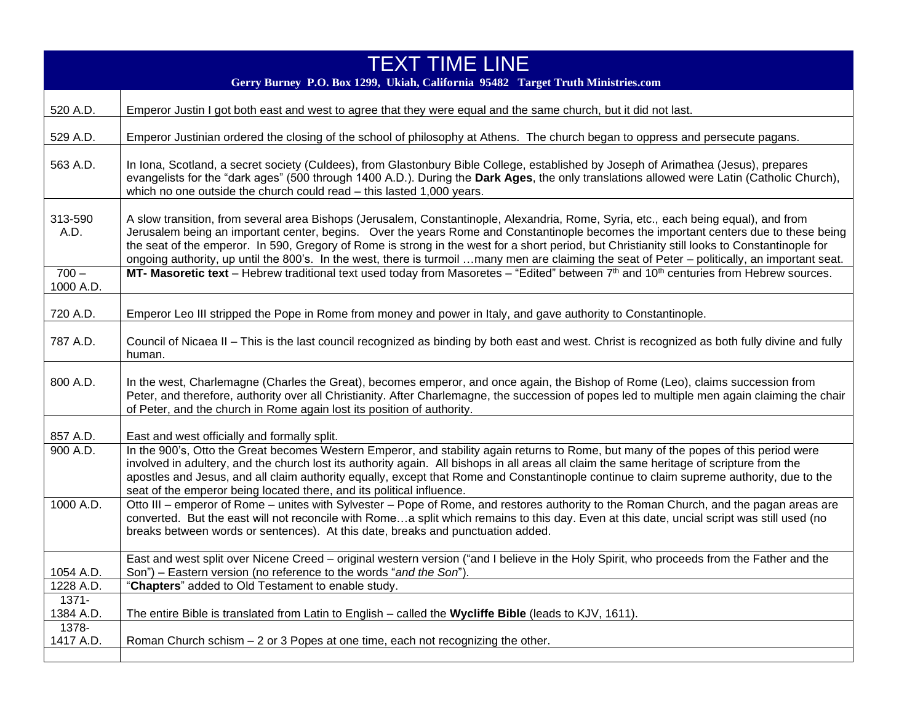| <b>TEXT TIME LINE</b><br>Gerry Burney P.O. Box 1299, Ukiah, California 95482 Target Truth Ministries.com |                                                                                                                                                                                                                                                                                                                                                                                                                                                                                                                                                                                |
|----------------------------------------------------------------------------------------------------------|--------------------------------------------------------------------------------------------------------------------------------------------------------------------------------------------------------------------------------------------------------------------------------------------------------------------------------------------------------------------------------------------------------------------------------------------------------------------------------------------------------------------------------------------------------------------------------|
| 520 A.D.                                                                                                 | Emperor Justin I got both east and west to agree that they were equal and the same church, but it did not last.                                                                                                                                                                                                                                                                                                                                                                                                                                                                |
| 529 A.D.                                                                                                 | Emperor Justinian ordered the closing of the school of philosophy at Athens. The church began to oppress and persecute pagans.                                                                                                                                                                                                                                                                                                                                                                                                                                                 |
| 563 A.D.                                                                                                 | In Iona, Scotland, a secret society (Culdees), from Glastonbury Bible College, established by Joseph of Arimathea (Jesus), prepares<br>evangelists for the "dark ages" (500 through 1400 A.D.). During the Dark Ages, the only translations allowed were Latin (Catholic Church),<br>which no one outside the church could read - this lasted 1,000 years.                                                                                                                                                                                                                     |
| 313-590<br>A.D.                                                                                          | A slow transition, from several area Bishops (Jerusalem, Constantinople, Alexandria, Rome, Syria, etc., each being equal), and from<br>Jerusalem being an important center, begins. Over the years Rome and Constantinople becomes the important centers due to these being<br>the seat of the emperor. In 590, Gregory of Rome is strong in the west for a short period, but Christianity still looks to Constantinople for<br>ongoing authority, up until the 800's. In the west, there is turmoil many men are claiming the seat of Peter – politically, an important seat. |
| $700 -$<br>1000 A.D.                                                                                     | MT- Masoretic text - Hebrew traditional text used today from Masoretes - "Edited" between 7th and 10th centuries from Hebrew sources.                                                                                                                                                                                                                                                                                                                                                                                                                                          |
| 720 A.D.                                                                                                 | Emperor Leo III stripped the Pope in Rome from money and power in Italy, and gave authority to Constantinople.                                                                                                                                                                                                                                                                                                                                                                                                                                                                 |
| 787 A.D.                                                                                                 | Council of Nicaea II - This is the last council recognized as binding by both east and west. Christ is recognized as both fully divine and fully<br>human.                                                                                                                                                                                                                                                                                                                                                                                                                     |
| 800 A.D.                                                                                                 | In the west, Charlemagne (Charles the Great), becomes emperor, and once again, the Bishop of Rome (Leo), claims succession from<br>Peter, and therefore, authority over all Christianity. After Charlemagne, the succession of popes led to multiple men again claiming the chair<br>of Peter, and the church in Rome again lost its position of authority.                                                                                                                                                                                                                    |
| 857 A.D.                                                                                                 | East and west officially and formally split.                                                                                                                                                                                                                                                                                                                                                                                                                                                                                                                                   |
| 900 A.D.                                                                                                 | In the 900's, Otto the Great becomes Western Emperor, and stability again returns to Rome, but many of the popes of this period were<br>involved in adultery, and the church lost its authority again. All bishops in all areas all claim the same heritage of scripture from the<br>apostles and Jesus, and all claim authority equally, except that Rome and Constantinople continue to claim supreme authority, due to the<br>seat of the emperor being located there, and its political influence.                                                                         |
| 1000 A.D.                                                                                                | Otto III – emperor of Rome – unites with Sylvester – Pope of Rome, and restores authority to the Roman Church, and the pagan areas are<br>converted. But the east will not reconcile with Romea split which remains to this day. Even at this date, uncial script was still used (no<br>breaks between words or sentences). At this date, breaks and punctuation added.                                                                                                                                                                                                        |
| 1054 A.D.                                                                                                | East and west split over Nicene Creed – original western version ("and I believe in the Holy Spirit, who proceeds from the Father and the<br>Son") - Eastern version (no reference to the words "and the Son").                                                                                                                                                                                                                                                                                                                                                                |
| 1228 A.D.                                                                                                | "Chapters" added to Old Testament to enable study.                                                                                                                                                                                                                                                                                                                                                                                                                                                                                                                             |
| $1371 -$                                                                                                 |                                                                                                                                                                                                                                                                                                                                                                                                                                                                                                                                                                                |
| 1384 A.D.<br>1378-                                                                                       | The entire Bible is translated from Latin to English - called the Wycliffe Bible (leads to KJV, 1611).                                                                                                                                                                                                                                                                                                                                                                                                                                                                         |
| 1417 A.D.                                                                                                | Roman Church schism - 2 or 3 Popes at one time, each not recognizing the other.                                                                                                                                                                                                                                                                                                                                                                                                                                                                                                |
|                                                                                                          |                                                                                                                                                                                                                                                                                                                                                                                                                                                                                                                                                                                |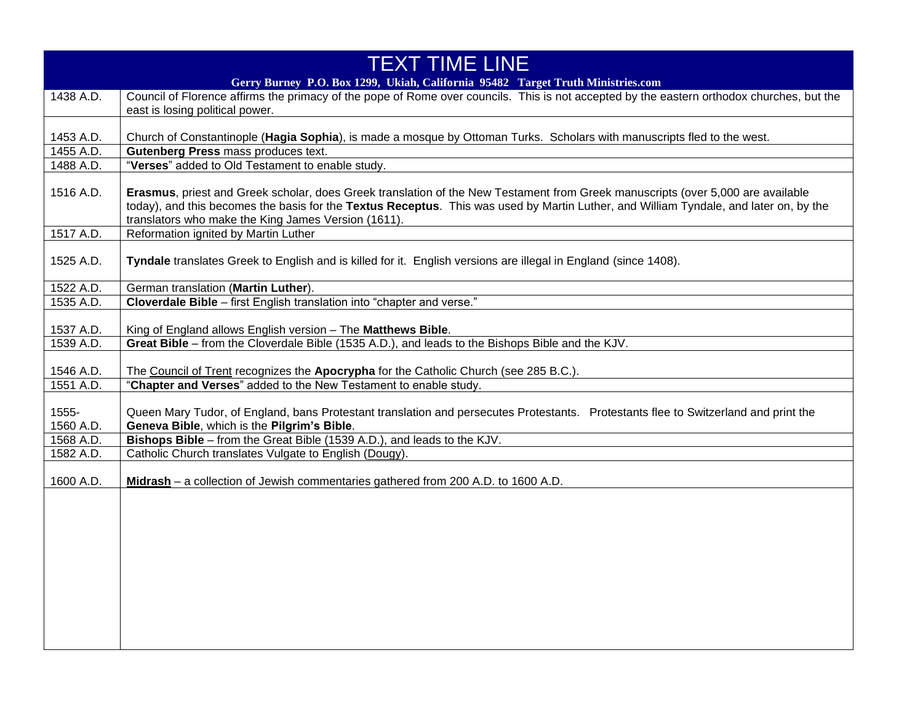| <b>TEXT TIME LINE</b> |                                                                                                                                                                                                                                                                          |
|-----------------------|--------------------------------------------------------------------------------------------------------------------------------------------------------------------------------------------------------------------------------------------------------------------------|
|                       | Gerry Burney P.O. Box 1299, Ukiah, California 95482 Target Truth Ministries.com                                                                                                                                                                                          |
| 1438 A.D.             | Council of Florence affirms the primacy of the pope of Rome over councils. This is not accepted by the eastern orthodox churches, but the                                                                                                                                |
|                       | east is losing political power.                                                                                                                                                                                                                                          |
|                       |                                                                                                                                                                                                                                                                          |
| 1453 A.D.             | Church of Constantinople (Hagia Sophia), is made a mosque by Ottoman Turks. Scholars with manuscripts fled to the west.                                                                                                                                                  |
| 1455 A.D.             | Gutenberg Press mass produces text.                                                                                                                                                                                                                                      |
| 1488 A.D.             | "Verses" added to Old Testament to enable study.                                                                                                                                                                                                                         |
| 1516 A.D.             | Erasmus, priest and Greek scholar, does Greek translation of the New Testament from Greek manuscripts (over 5,000 are available<br>today), and this becomes the basis for the Textus Receptus. This was used by Martin Luther, and William Tyndale, and later on, by the |
|                       | translators who make the King James Version (1611).                                                                                                                                                                                                                      |
| 1517 A.D.             | Reformation ignited by Martin Luther                                                                                                                                                                                                                                     |
| 1525 A.D.             | Tyndale translates Greek to English and is killed for it. English versions are illegal in England (since 1408).                                                                                                                                                          |
| 1522 A.D.             | German translation (Martin Luther).                                                                                                                                                                                                                                      |
| 1535 A.D.             | Cloverdale Bible - first English translation into "chapter and verse."                                                                                                                                                                                                   |
|                       |                                                                                                                                                                                                                                                                          |
| 1537 A.D.             | King of England allows English version - The Matthews Bible.                                                                                                                                                                                                             |
| 1539 A.D.             | Great Bible – from the Cloverdale Bible (1535 A.D.), and leads to the Bishops Bible and the KJV.                                                                                                                                                                         |
| 1546 A.D.             | The Council of Trent recognizes the Apocrypha for the Catholic Church (see 285 B.C.).                                                                                                                                                                                    |
| 1551 A.D.             | "Chapter and Verses" added to the New Testament to enable study.                                                                                                                                                                                                         |
| 1555-<br>1560 A.D.    | Queen Mary Tudor, of England, bans Protestant translation and persecutes Protestants. Protestants flee to Switzerland and print the<br>Geneva Bible, which is the Pilgrim's Bible.                                                                                       |
| 1568 A.D.             | Bishops Bible – from the Great Bible (1539 A.D.), and leads to the KJV.                                                                                                                                                                                                  |
| 1582 A.D.             | Catholic Church translates Vulgate to English (Dougy).                                                                                                                                                                                                                   |
|                       |                                                                                                                                                                                                                                                                          |
| 1600 A.D.             | Midrash - a collection of Jewish commentaries gathered from 200 A.D. to 1600 A.D.                                                                                                                                                                                        |
|                       |                                                                                                                                                                                                                                                                          |
|                       |                                                                                                                                                                                                                                                                          |
|                       |                                                                                                                                                                                                                                                                          |
|                       |                                                                                                                                                                                                                                                                          |
|                       |                                                                                                                                                                                                                                                                          |
|                       |                                                                                                                                                                                                                                                                          |
|                       |                                                                                                                                                                                                                                                                          |
|                       |                                                                                                                                                                                                                                                                          |
|                       |                                                                                                                                                                                                                                                                          |
|                       |                                                                                                                                                                                                                                                                          |
|                       |                                                                                                                                                                                                                                                                          |